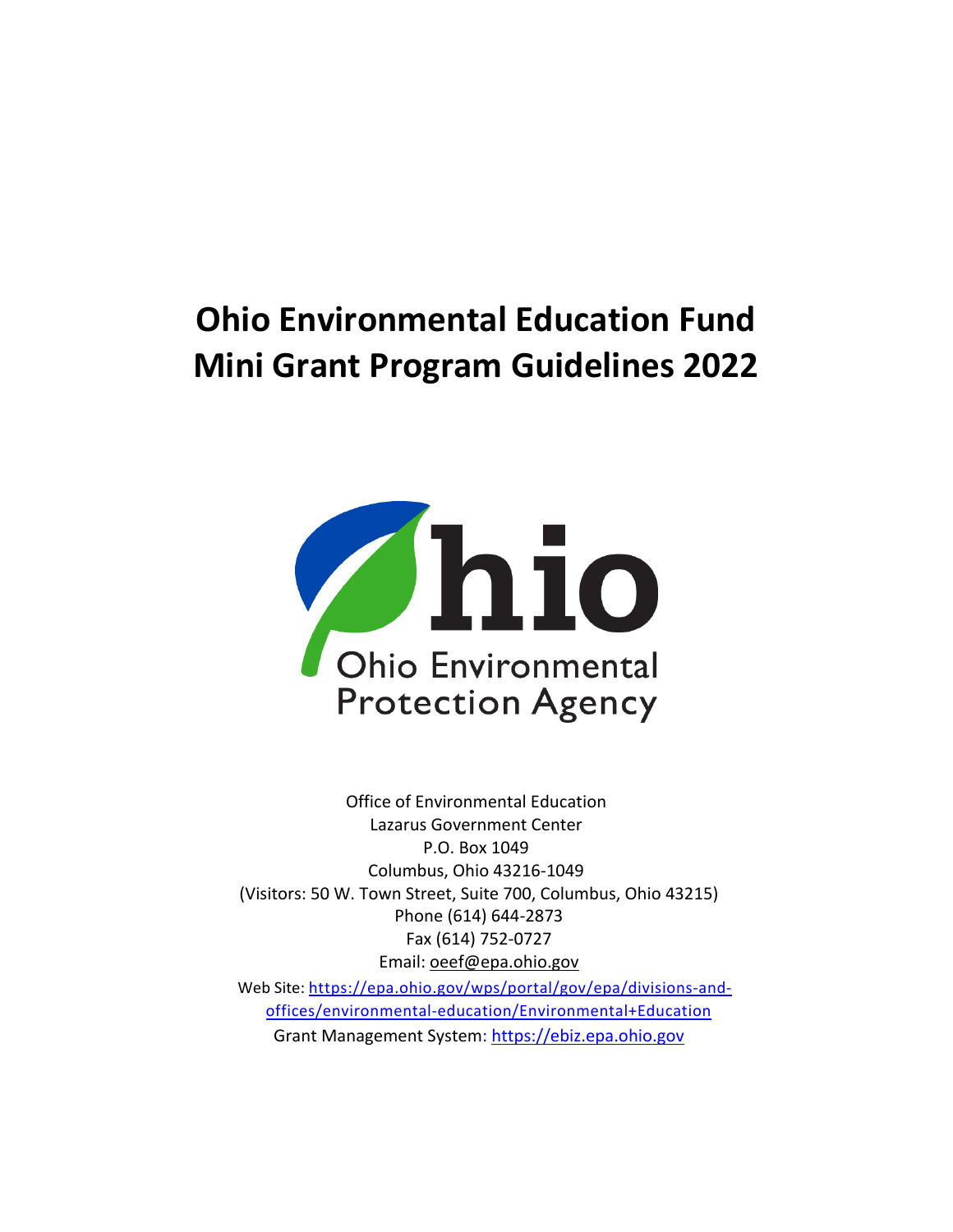# **Ohio Environmental Education Fund Mini Grant Program Guidelines 2022**



Office of Environmental Education Lazarus Government Center P.O. Box 1049 Columbus, Ohio 43216-1049 (Visitors: 50 W. Town Street, Suite 700, Columbus, Ohio 43215) Phone (614) 644-2873 Fax (614) 752-0727 Email: oeef@epa.ohio.gov

Web Site: [https://epa.ohio.gov/wps/portal/gov/epa/divisions-and](https://epa.ohio.gov/wps/portal/gov/epa/divisions-and-offices/environmental-education/Environmental+Education)[offices/environmental-education/Environmental+Education](https://epa.ohio.gov/wps/portal/gov/epa/divisions-and-offices/environmental-education/Environmental+Education) Grant Management System: [https://ebiz.epa.ohio.gov](https://ebiz.epa.ohio.gov/)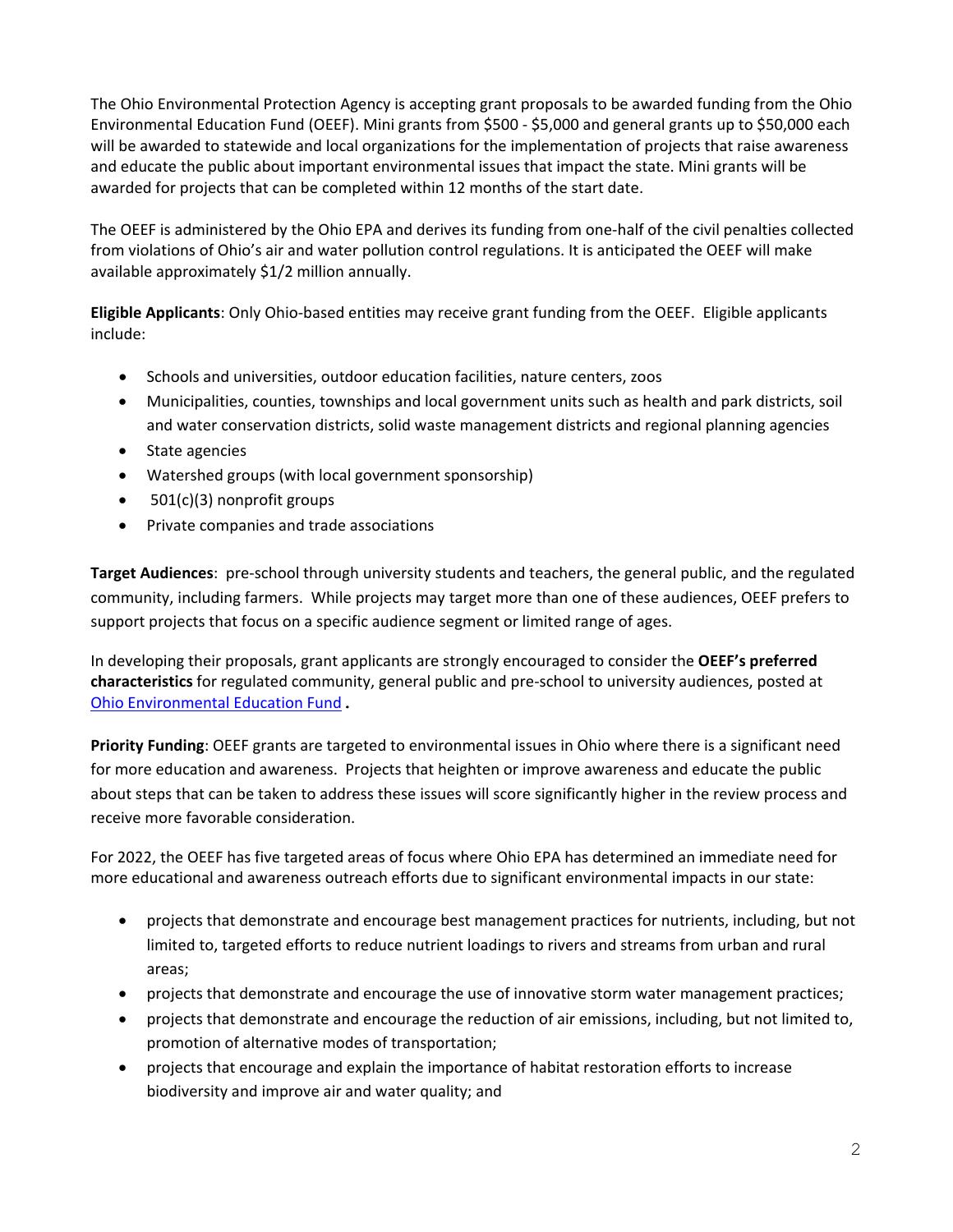The Ohio Environmental Protection Agency is accepting grant proposals to be awarded funding from the Ohio Environmental Education Fund (OEEF). Mini grants from \$500 - \$5,000 and general grants up to \$50,000 each will be awarded to statewide and local organizations for the implementation of projects that raise awareness and educate the public about important environmental issues that impact the state. Mini grants will be awarded for projects that can be completed within 12 months of the start date.

The OEEF is administered by the Ohio EPA and derives its funding from one-half of the civil penalties collected from violations of Ohio's air and water pollution control regulations. It is anticipated the OEEF will make available approximately \$1/2 million annually.

**Eligible Applicants**: Only Ohio-based entities may receive grant funding from the OEEF. Eligible applicants include:

- Schools and universities, outdoor education facilities, nature centers, zoos
- Municipalities, counties, townships and local government units such as health and park districts, soil and water conservation districts, solid waste management districts and regional planning agencies
- State agencies
- Watershed groups (with local government sponsorship)
- 501(c)(3) nonprofit groups
- Private companies and trade associations

**Target Audiences**: pre-school through university students and teachers, the general public, and the regulated community, including farmers. While projects may target more than one of these audiences, OEEF prefers to support projects that focus on a specific audience segment or limited range of ages.

In developing their proposals, grant applicants are strongly encouraged to consider the **OEEF's preferred characteristics** for regulated community, general public and pre-school to university audiences, posted at [Ohio Environmental Education Fund](https://epa.ohio.gov/wps/portal/gov/epa/divisions-and-offices/environmental-education/about-oee/ohio-environmental-education-fund#ApplicationGuidelinesandResources).

**Priority Funding**: OEEF grants are targeted to environmental issues in Ohio where there is a significant need for more education and awareness. Projects that heighten or improve awareness and educate the public about steps that can be taken to address these issues will score significantly higher in the review process and receive more favorable consideration.

For 2022, the OEEF has five targeted areas of focus where Ohio EPA has determined an immediate need for more educational and awareness outreach efforts due to significant environmental impacts in our state:

- projects that demonstrate and encourage best management practices for nutrients, including, but not limited to, targeted efforts to reduce nutrient loadings to rivers and streams from urban and rural areas;
- projects that demonstrate and encourage the use of innovative storm water management practices;
- projects that demonstrate and encourage the reduction of air emissions, including, but not limited to, promotion of alternative modes of transportation;
- projects that encourage and explain the importance of habitat restoration efforts to increase biodiversity and improve air and water quality; and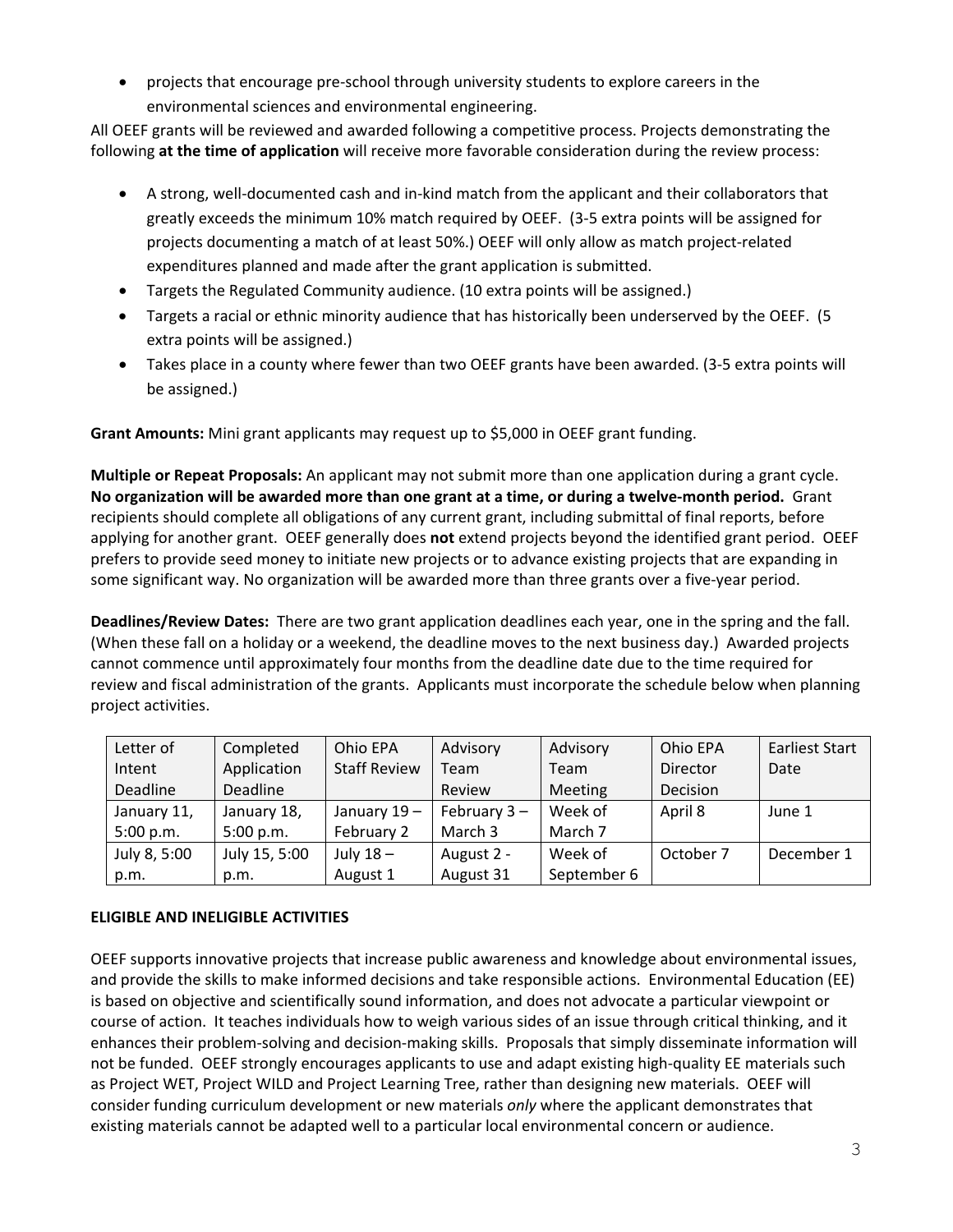• projects that encourage pre-school through university students to explore careers in the environmental sciences and environmental engineering.

All OEEF grants will be reviewed and awarded following a competitive process. Projects demonstrating the following **at the time of application** will receive more favorable consideration during the review process:

- A strong, well-documented cash and in-kind match from the applicant and their collaborators that greatly exceeds the minimum 10% match required by OEEF. (3-5 extra points will be assigned for projects documenting a match of at least 50%.) OEEF will only allow as match project-related expenditures planned and made after the grant application is submitted.
- Targets the Regulated Community audience. (10 extra points will be assigned.)
- Targets a racial or ethnic minority audience that has historically been underserved by the OEEF. (5 extra points will be assigned.)
- Takes place in a county where fewer than two OEEF grants have been awarded. (3-5 extra points will be assigned.)

**Grant Amounts:** Mini grant applicants may request up to \$5,000 in OEEF grant funding.

**Multiple or Repeat Proposals:** An applicant may not submit more than one application during a grant cycle. **No organization will be awarded more than one grant at a time, or during a twelve-month period.** Grant recipients should complete all obligations of any current grant, including submittal of final reports, before applying for another grant. OEEF generally does **not** extend projects beyond the identified grant period. OEEF prefers to provide seed money to initiate new projects or to advance existing projects that are expanding in some significant way. No organization will be awarded more than three grants over a five-year period.

**Deadlines/Review Dates:** There are two grant application deadlines each year, one in the spring and the fall. (When these fall on a holiday or a weekend, the deadline moves to the next business day.) Awarded projects cannot commence until approximately four months from the deadline date due to the time required for review and fiscal administration of the grants. Applicants must incorporate the schedule below when planning project activities.

| Letter of    | Completed     | Ohio EPA            | Advisory       | Advisory       | Ohio EPA  | <b>Earliest Start</b> |
|--------------|---------------|---------------------|----------------|----------------|-----------|-----------------------|
| Intent       | Application   | <b>Staff Review</b> | Team           | Team           | Director  | Date                  |
| Deadline     | Deadline      |                     | Review         | <b>Meeting</b> | Decision  |                       |
| January 11,  | January 18,   | January 19-         | February $3 -$ | Week of        | April 8   | June 1                |
| 5:00 p.m.    | 5:00 p.m.     | February 2          | March 3        | March 7        |           |                       |
| July 8, 5:00 | July 15, 5:00 | July $18-$          | August 2 -     | Week of        | October 7 | December 1            |
| p.m.         | p.m.          | August 1            | August 31      | September 6    |           |                       |

## **ELIGIBLE AND INELIGIBLE ACTIVITIES**

OEEF supports innovative projects that increase public awareness and knowledge about environmental issues, and provide the skills to make informed decisions and take responsible actions. Environmental Education (EE) is based on objective and scientifically sound information, and does not advocate a particular viewpoint or course of action. It teaches individuals how to weigh various sides of an issue through critical thinking, and it enhances their problem-solving and decision-making skills. Proposals that simply disseminate information will not be funded. OEEF strongly encourages applicants to use and adapt existing high-quality EE materials such as Project WET, Project WILD and Project Learning Tree, rather than designing new materials. OEEF will consider funding curriculum development or new materials *only* where the applicant demonstrates that existing materials cannot be adapted well to a particular local environmental concern or audience.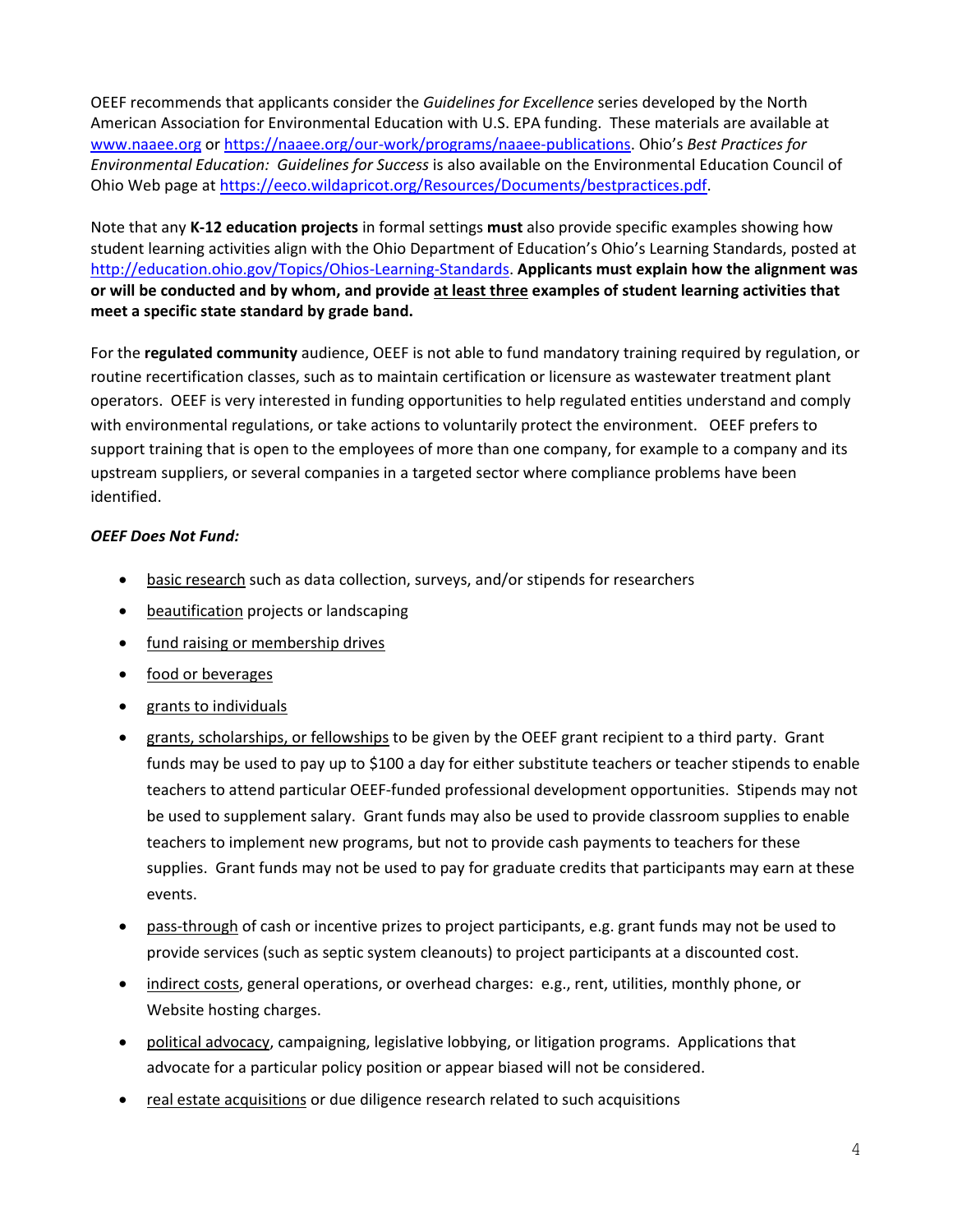OEEF recommends that applicants consider the *Guidelines for Excellence* series developed by the North American Association for Environmental Education with U.S. EPA funding. These materials are available at [www.naaee.org](http://www.naaee.org/) or [https://naaee.org/our-work/programs/naaee-publications.](https://naaee.org/our-work/programs/naaee-publications) Ohio's *Best Practices for Environmental Education: Guidelines for Success* is also available on the Environmental Education Council of Ohio Web page at [https://eeco.wildapricot.org/Resources/Documents/bestpractices.pdf.](https://eeco.wildapricot.org/Resources/Documents/bestpractices.pdf)

Note that any **K-12 education projects** in formal settings **must** also provide specific examples showing how student learning activities align with the Ohio Department of Education's Ohio's Learning Standards, posted at [http://education.ohio.gov/Topics/Ohios-Learning-Standards.](http://education.ohio.gov/Topics/Ohios-Learning-Standards) **Applicants must explain how the alignment was or will be conducted and by whom, and provide at least three examples of student learning activities that meet a specific state standard by grade band.**

For the **regulated community** audience, OEEF is not able to fund mandatory training required by regulation, or routine recertification classes, such as to maintain certification or licensure as wastewater treatment plant operators. OEEF is very interested in funding opportunities to help regulated entities understand and comply with environmental regulations, or take actions to voluntarily protect the environment. OEEF prefers to support training that is open to the employees of more than one company, for example to a company and its upstream suppliers, or several companies in a targeted sector where compliance problems have been identified.

## *OEEF Does Not Fund:*

- basic research such as data collection, surveys, and/or stipends for researchers
- beautification projects or landscaping
- fund raising or membership drives
- food or beverages
- grants to individuals
- grants, scholarships, or fellowships to be given by the OEEF grant recipient to a third party. Grant funds may be used to pay up to \$100 a day for either substitute teachers or teacher stipends to enable teachers to attend particular OEEF-funded professional development opportunities. Stipends may not be used to supplement salary. Grant funds may also be used to provide classroom supplies to enable teachers to implement new programs, but not to provide cash payments to teachers for these supplies. Grant funds may not be used to pay for graduate credits that participants may earn at these events.
- pass-through of cash or incentive prizes to project participants, e.g. grant funds may not be used to provide services (such as septic system cleanouts) to project participants at a discounted cost.
- indirect costs, general operations, or overhead charges: e.g., rent, utilities, monthly phone, or Website hosting charges.
- political advocacy, campaigning, legislative lobbying, or litigation programs. Applications that advocate for a particular policy position or appear biased will not be considered.
- real estate acquisitions or due diligence research related to such acquisitions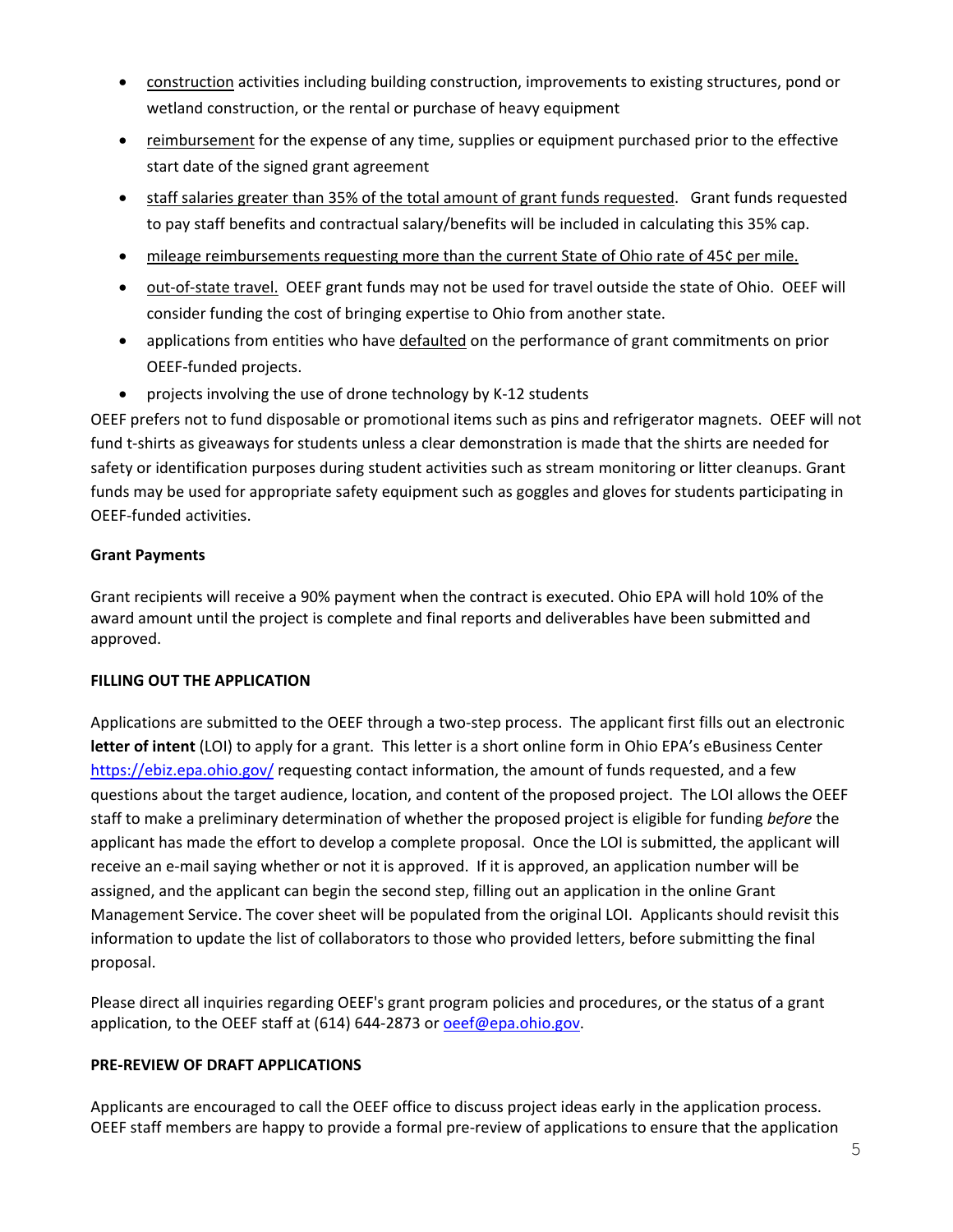- construction activities including building construction, improvements to existing structures, pond or wetland construction, or the rental or purchase of heavy equipment
- reimbursement for the expense of any time, supplies or equipment purchased prior to the effective start date of the signed grant agreement
- staff salaries greater than 35% of the total amount of grant funds requested. Grant funds requested to pay staff benefits and contractual salary/benefits will be included in calculating this 35% cap.
- mileage reimbursements requesting more than the current State of Ohio rate of 45¢ per mile.
- out-of-state travel. OEEF grant funds may not be used for travel outside the state of Ohio. OEEF will consider funding the cost of bringing expertise to Ohio from another state.
- applications from entities who have defaulted on the performance of grant commitments on prior OEEF-funded projects.
- projects involving the use of drone technology by K-12 students

OEEF prefers not to fund disposable or promotional items such as pins and refrigerator magnets. OEEF will not fund t-shirts as giveaways for students unless a clear demonstration is made that the shirts are needed for safety or identification purposes during student activities such as stream monitoring or litter cleanups. Grant funds may be used for appropriate safety equipment such as goggles and gloves for students participating in OEEF-funded activities.

# **Grant Payments**

Grant recipients will receive a 90% payment when the contract is executed. Ohio EPA will hold 10% of the award amount until the project is complete and final reports and deliverables have been submitted and approved.

## **FILLING OUT THE APPLICATION**

Applications are submitted to the OEEF through a two-step process. The applicant first fills out an electronic **letter of intent** (LOI) to apply for a grant. This letter is a short online form in Ohio EPA's eBusiness Center <https://ebiz.epa.ohio.gov/> requesting contact information, the amount of funds requested, and a few questions about the target audience, location, and content of the proposed project. The LOI allows the OEEF staff to make a preliminary determination of whether the proposed project is eligible for funding *before* the applicant has made the effort to develop a complete proposal. Once the LOI is submitted, the applicant will receive an e-mail saying whether or not it is approved. If it is approved, an application number will be assigned, and the applicant can begin the second step, filling out an application in the online Grant Management Service. The cover sheet will be populated from the original LOI. Applicants should revisit this information to update the list of collaborators to those who provided letters, before submitting the final proposal.

Please direct all inquiries regarding OEEF's grant program policies and procedures, or the status of a grant application, to the OEEF staff at (614) 644-2873 or [oeef@epa.ohio.gov.](mailto:oeef@epa.ohio.gov)

# **PRE-REVIEW OF DRAFT APPLICATIONS**

Applicants are encouraged to call the OEEF office to discuss project ideas early in the application process. OEEF staff members are happy to provide a formal pre-review of applications to ensure that the application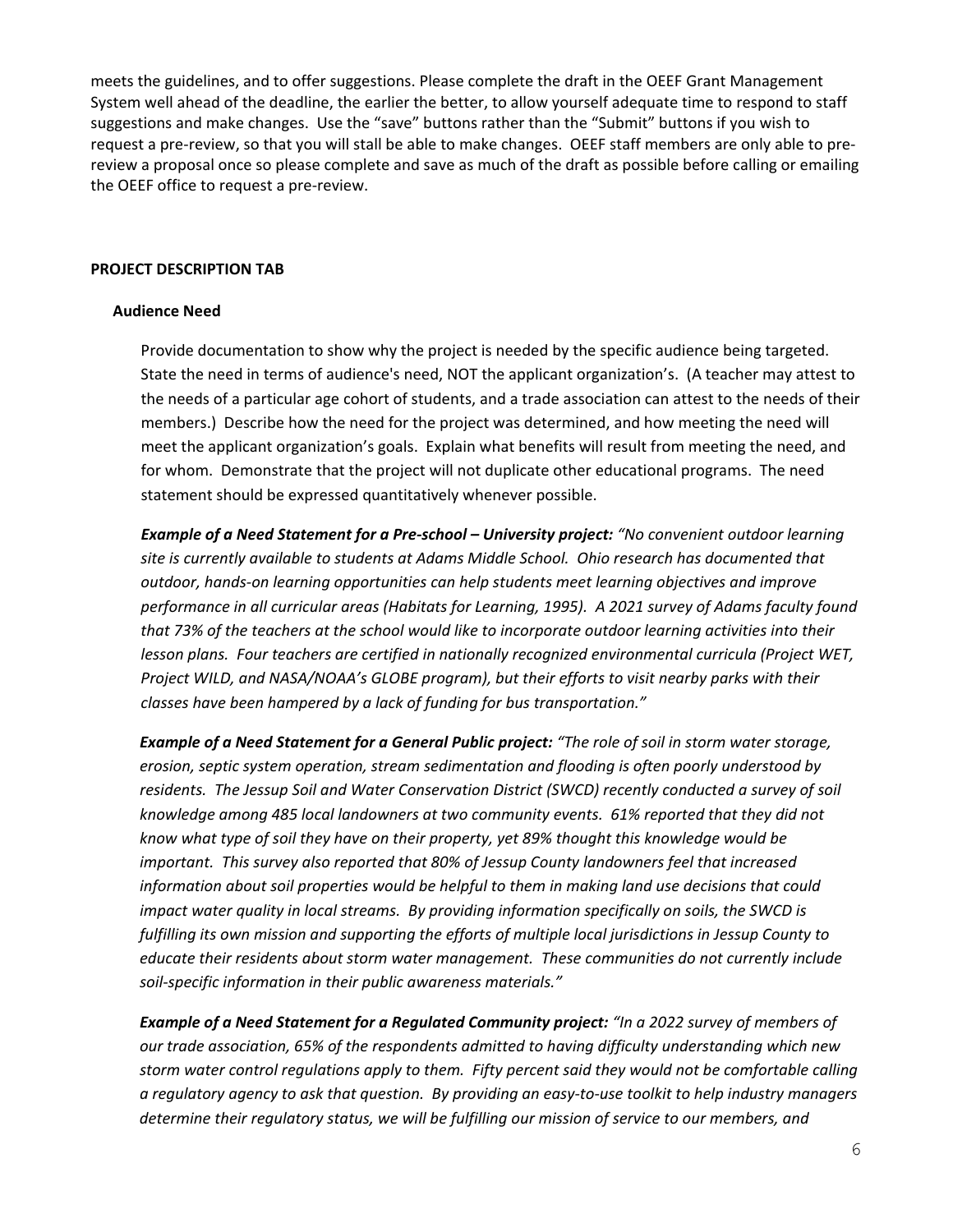meets the guidelines, and to offer suggestions. Please complete the draft in the OEEF Grant Management System well ahead of the deadline, the earlier the better, to allow yourself adequate time to respond to staff suggestions and make changes. Use the "save" buttons rather than the "Submit" buttons if you wish to request a pre-review, so that you will stall be able to make changes. OEEF staff members are only able to prereview a proposal once so please complete and save as much of the draft as possible before calling or emailing the OEEF office to request a pre-review.

#### **PROJECT DESCRIPTION TAB**

#### **Audience Need**

Provide documentation to show why the project is needed by the specific audience being targeted. State the need in terms of audience's need, NOT the applicant organization's. (A teacher may attest to the needs of a particular age cohort of students, and a trade association can attest to the needs of their members.) Describe how the need for the project was determined, and how meeting the need will meet the applicant organization's goals. Explain what benefits will result from meeting the need, and for whom. Demonstrate that the project will not duplicate other educational programs. The need statement should be expressed quantitatively whenever possible.

*Example of a Need Statement for a Pre-school – University project: "No convenient outdoor learning site is currently available to students at Adams Middle School. Ohio research has documented that outdoor, hands-on learning opportunities can help students meet learning objectives and improve performance in all curricular areas (Habitats for Learning, 1995). A 2021 survey of Adams faculty found that 73% of the teachers at the school would like to incorporate outdoor learning activities into their lesson plans. Four teachers are certified in nationally recognized environmental curricula (Project WET, Project WILD, and NASA/NOAA's GLOBE program), but their efforts to visit nearby parks with their classes have been hampered by a lack of funding for bus transportation."* 

*Example of a Need Statement for a General Public project: "The role of soil in storm water storage, erosion, septic system operation, stream sedimentation and flooding is often poorly understood by residents. The Jessup Soil and Water Conservation District (SWCD) recently conducted a survey of soil knowledge among 485 local landowners at two community events. 61% reported that they did not know what type of soil they have on their property, yet 89% thought this knowledge would be important. This survey also reported that 80% of Jessup County landowners feel that increased information about soil properties would be helpful to them in making land use decisions that could impact water quality in local streams. By providing information specifically on soils, the SWCD is fulfilling its own mission and supporting the efforts of multiple local jurisdictions in Jessup County to educate their residents about storm water management. These communities do not currently include soil-specific information in their public awareness materials."*

*Example of a Need Statement for a Regulated Community project: "In a 2022 survey of members of our trade association, 65% of the respondents admitted to having difficulty understanding which new storm water control regulations apply to them. Fifty percent said they would not be comfortable calling a regulatory agency to ask that question. By providing an easy-to-use toolkit to help industry managers determine their regulatory status, we will be fulfilling our mission of service to our members, and*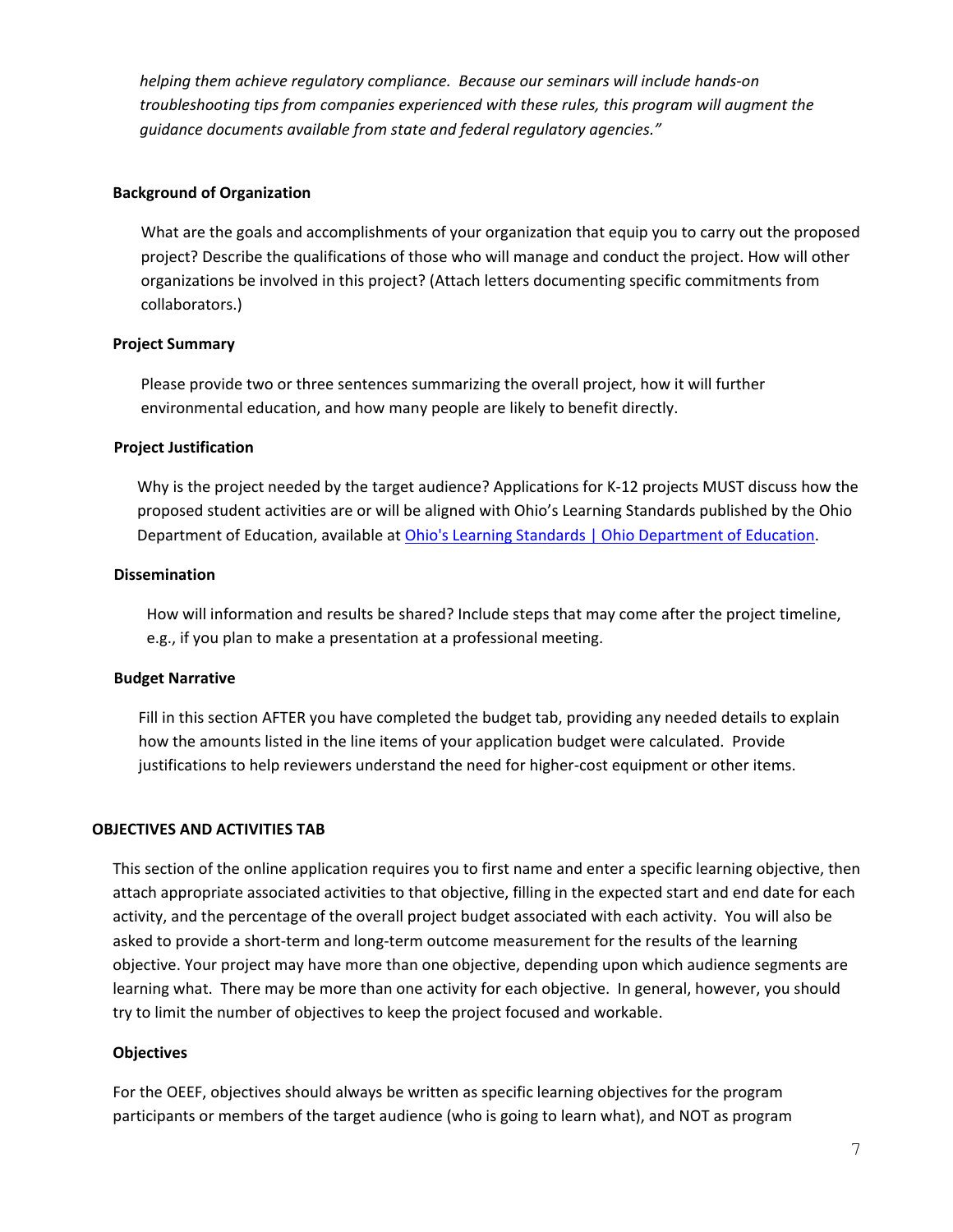*helping them achieve regulatory compliance. Because our seminars will include hands-on troubleshooting tips from companies experienced with these rules, this program will augment the guidance documents available from state and federal regulatory agencies."*

#### **Background of Organization**

What are the goals and accomplishments of your organization that equip you to carry out the proposed project? Describe the qualifications of those who will manage and conduct the project. How will other organizations be involved in this project? (Attach letters documenting specific commitments from collaborators.)

#### **Project Summary**

Please provide two or three sentences summarizing the overall project, how it will further environmental education, and how many people are likely to benefit directly.

#### **Project Justification**

Why is the project needed by the target audience? Applications for K-12 projects MUST discuss how the proposed student activities are or will be aligned with Ohio's Learning Standards published by the Ohio Department of Education, available at [Ohio's Learning Standards | Ohio Department of Education.](http://education.ohio.gov/Topics/Learning-in-Ohio/OLS-Graphic-Sections/Learning-Standards)

#### **Dissemination**

How will information and results be shared? Include steps that may come after the project timeline, e.g., if you plan to make a presentation at a professional meeting.

#### **Budget Narrative**

Fill in this section AFTER you have completed the budget tab, providing any needed details to explain how the amounts listed in the line items of your application budget were calculated. Provide justifications to help reviewers understand the need for higher-cost equipment or other items.

#### **OBJECTIVES AND ACTIVITIES TAB**

This section of the online application requires you to first name and enter a specific learning objective, then attach appropriate associated activities to that objective, filling in the expected start and end date for each activity, and the percentage of the overall project budget associated with each activity. You will also be asked to provide a short-term and long-term outcome measurement for the results of the learning objective. Your project may have more than one objective, depending upon which audience segments are learning what. There may be more than one activity for each objective. In general, however, you should try to limit the number of objectives to keep the project focused and workable.

#### **Objectives**

For the OEEF, objectives should always be written as specific learning objectives for the program participants or members of the target audience (who is going to learn what), and NOT as program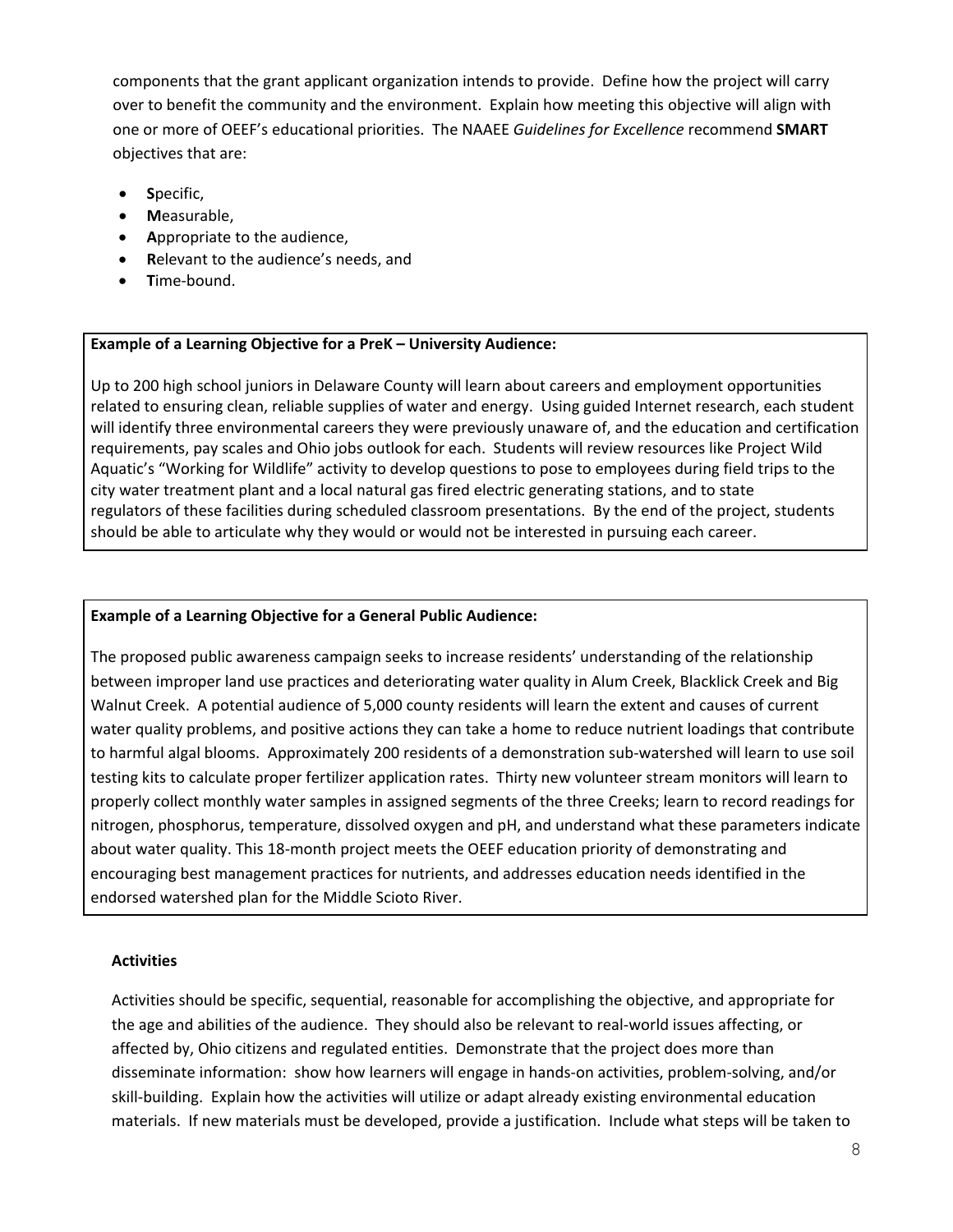components that the grant applicant organization intends to provide. Define how the project will carry over to benefit the community and the environment. Explain how meeting this objective will align with one or more of OEEF's educational priorities. The NAAEE *Guidelines for Excellence* recommend **SMART** objectives that are:

- **S**pecific,
- **M**easurable,
- **A**ppropriate to the audience,
- **R**elevant to the audience's needs, and
- **T**ime-bound.

#### **Example of a Learning Objective for a PreK – University Audience:**

Up to 200 high school juniors in Delaware County will learn about careers and employment opportunities related to ensuring clean, reliable supplies of water and energy. Using guided Internet research, each student will identify three environmental careers they were previously unaware of, and the education and certification requirements, pay scales and Ohio jobs outlook for each. Students will review resources like Project Wild Aquatic's "Working for Wildlife" activity to develop questions to pose to employees during field trips to the city water treatment plant and a local natural gas fired electric generating stations, and to state regulators of these facilities during scheduled classroom presentations. By the end of the project, students should be able to articulate why they would or would not be interested in pursuing each career.

#### **Example of a Learning Objective for a General Public Audience:**

The proposed public awareness campaign seeks to increase residents' understanding of the relationship between improper land use practices and deteriorating water quality in Alum Creek, Blacklick Creek and Big Walnut Creek. A potential audience of 5,000 county residents will learn the extent and causes of current water quality problems, and positive actions they can take a home to reduce nutrient loadings that contribute to harmful algal blooms. Approximately 200 residents of a demonstration sub-watershed will learn to use soil testing kits to calculate proper fertilizer application rates. Thirty new volunteer stream monitors will learn to properly collect monthly water samples in assigned segments of the three Creeks; learn to record readings for nitrogen, phosphorus, temperature, dissolved oxygen and pH, and understand what these parameters indicate about water quality. This 18-month project meets the OEEF education priority of demonstrating and encouraging best management practices for nutrients, and addresses education needs identified in the endorsed watershed plan for the Middle Scioto River.

#### **Activities**

Activities should be specific, sequential, reasonable for accomplishing the objective, and appropriate for the age and abilities of the audience. They should also be relevant to real-world issues affecting, or affected by, Ohio citizens and regulated entities. Demonstrate that the project does more than disseminate information: show how learners will engage in hands-on activities, problem-solving, and/or skill-building. Explain how the activities will utilize or adapt already existing environmental education materials. If new materials must be developed, provide a justification. Include what steps will be taken to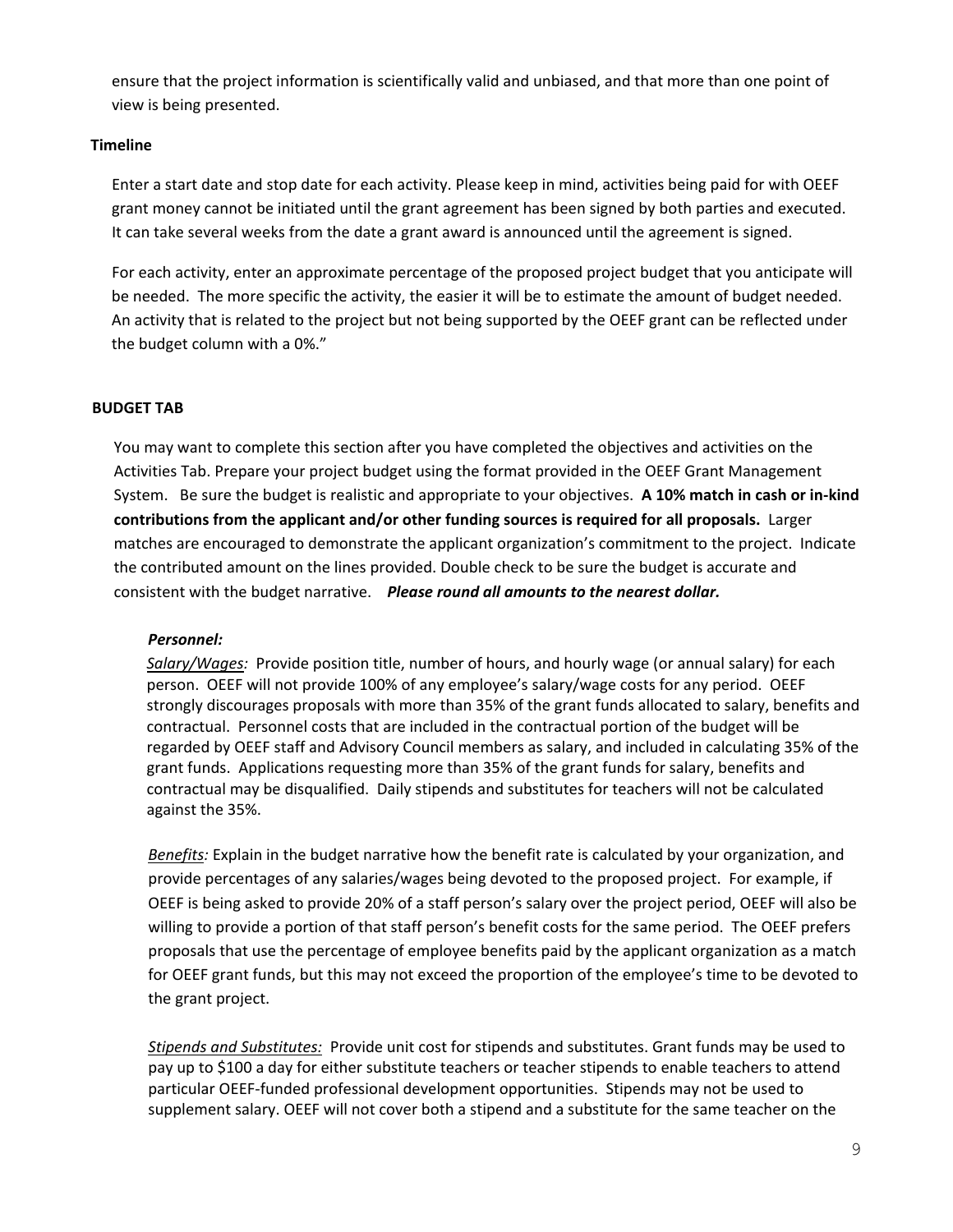ensure that the project information is scientifically valid and unbiased, and that more than one point of view is being presented.

## **Timeline**

Enter a start date and stop date for each activity. Please keep in mind, activities being paid for with OEEF grant money cannot be initiated until the grant agreement has been signed by both parties and executed. It can take several weeks from the date a grant award is announced until the agreement is signed.

For each activity, enter an approximate percentage of the proposed project budget that you anticipate will be needed. The more specific the activity, the easier it will be to estimate the amount of budget needed. An activity that is related to the project but not being supported by the OEEF grant can be reflected under the budget column with a 0%."

## **BUDGET TAB**

You may want to complete this section after you have completed the objectives and activities on the Activities Tab. Prepare your project budget using the format provided in the OEEF Grant Management System. Be sure the budget is realistic and appropriate to your objectives. **A 10% match in cash or in-kind contributions from the applicant and/or other funding sources is required for all proposals.** Larger matches are encouraged to demonstrate the applicant organization's commitment to the project. Indicate the contributed amount on the lines provided. Double check to be sure the budget is accurate and consistent with the budget narrative. *Please round all amounts to the nearest dollar.* 

#### *Personnel:*

*Salary/Wages:* Provide position title, number of hours, and hourly wage (or annual salary) for each person. OEEF will not provide 100% of any employee's salary/wage costs for any period. OEEF strongly discourages proposals with more than 35% of the grant funds allocated to salary, benefits and contractual. Personnel costs that are included in the contractual portion of the budget will be regarded by OEEF staff and Advisory Council members as salary, and included in calculating 35% of the grant funds. Applications requesting more than 35% of the grant funds for salary, benefits and contractual may be disqualified. Daily stipends and substitutes for teachers will not be calculated against the 35%.

*Benefits:* Explain in the budget narrative how the benefit rate is calculated by your organization, and provide percentages of any salaries/wages being devoted to the proposed project. For example, if OEEF is being asked to provide 20% of a staff person's salary over the project period, OEEF will also be willing to provide a portion of that staff person's benefit costs for the same period. The OEEF prefers proposals that use the percentage of employee benefits paid by the applicant organization as a match for OEEF grant funds, but this may not exceed the proportion of the employee's time to be devoted to the grant project.

*Stipends and Substitutes:* Provide unit cost for stipends and substitutes. Grant funds may be used to pay up to \$100 a day for either substitute teachers or teacher stipends to enable teachers to attend particular OEEF-funded professional development opportunities. Stipends may not be used to supplement salary. OEEF will not cover both a stipend and a substitute for the same teacher on the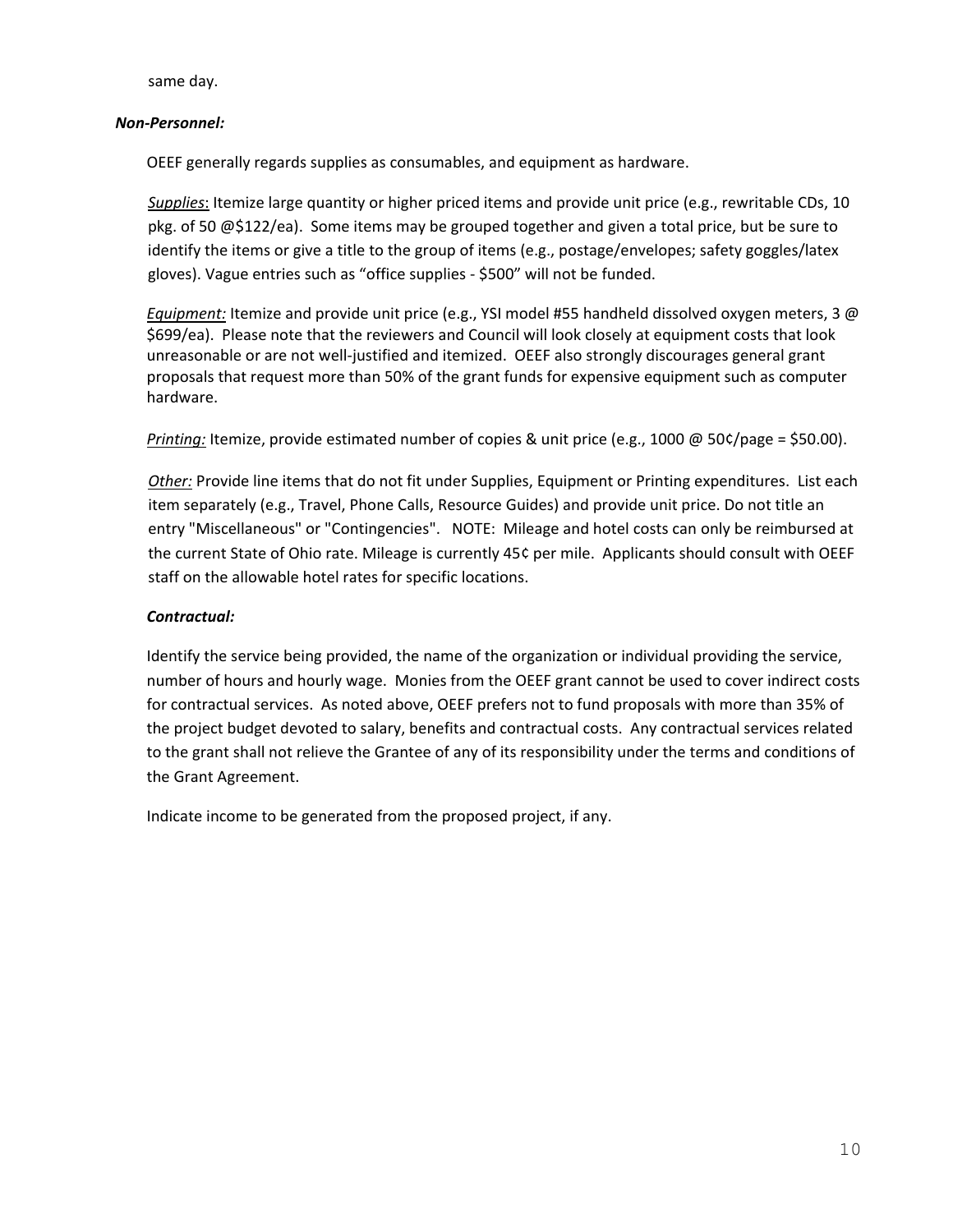same day.

## *Non-Personnel:*

OEEF generally regards supplies as consumables, and equipment as hardware.

*Supplies*: Itemize large quantity or higher priced items and provide unit price (e.g., rewritable CDs, 10 pkg. of 50 @\$122/ea). Some items may be grouped together and given a total price, but be sure to identify the items or give a title to the group of items (e.g., postage/envelopes; safety goggles/latex gloves). Vague entries such as "office supplies - \$500" will not be funded.

*Equipment:* Itemize and provide unit price (e.g., YSI model #55 handheld dissolved oxygen meters, 3 @ \$699/ea). Please note that the reviewers and Council will look closely at equipment costs that look unreasonable or are not well-justified and itemized. OEEF also strongly discourages general grant proposals that request more than 50% of the grant funds for expensive equipment such as computer hardware.

*Printing:* Itemize, provide estimated number of copies & unit price (e.g., 1000 @ 50¢/page = \$50.00).

*Other:* Provide line items that do not fit under Supplies, Equipment or Printing expenditures. List each item separately (e.g., Travel, Phone Calls, Resource Guides) and provide unit price. Do not title an entry "Miscellaneous" or "Contingencies". NOTE: Mileage and hotel costs can only be reimbursed at the current State of Ohio rate. Mileage is currently 45¢ per mile. Applicants should consult with OEEF staff on the allowable hotel rates for specific locations.

## *Contractual:*

Identify the service being provided, the name of the organization or individual providing the service, number of hours and hourly wage. Monies from the OEEF grant cannot be used to cover indirect costs for contractual services. As noted above, OEEF prefers not to fund proposals with more than 35% of the project budget devoted to salary, benefits and contractual costs. Any contractual services related to the grant shall not relieve the Grantee of any of its responsibility under the terms and conditions of the Grant Agreement.

Indicate income to be generated from the proposed project, if any.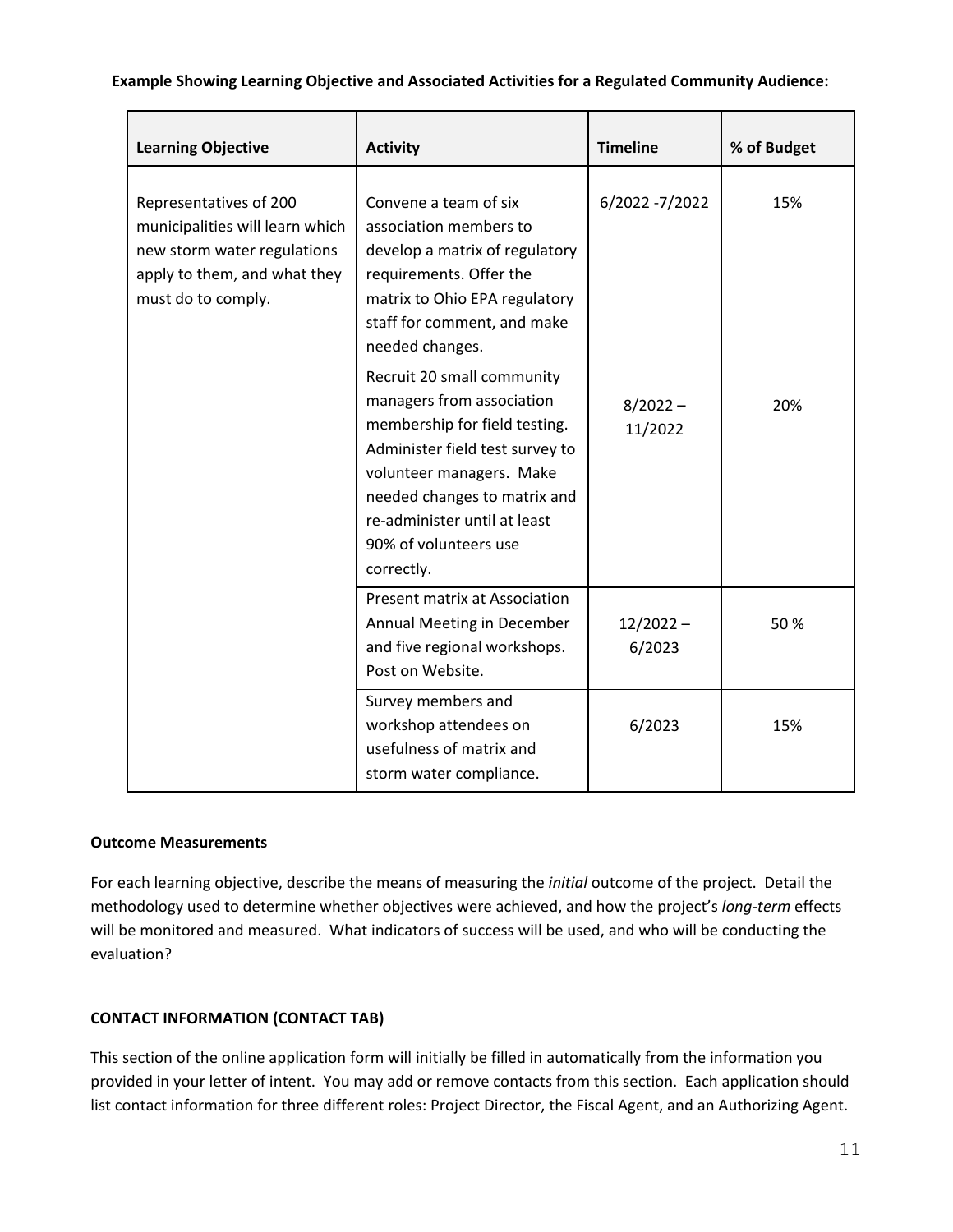### **Example Showing Learning Objective and Associated Activities for a Regulated Community Audience:**

| <b>Learning Objective</b>                                                                                                                      | <b>Activity</b>                                                                                                                                                                                                                                                | <b>Timeline</b>       | % of Budget |
|------------------------------------------------------------------------------------------------------------------------------------------------|----------------------------------------------------------------------------------------------------------------------------------------------------------------------------------------------------------------------------------------------------------------|-----------------------|-------------|
| Representatives of 200<br>municipalities will learn which<br>new storm water regulations<br>apply to them, and what they<br>must do to comply. | Convene a team of six<br>association members to<br>develop a matrix of regulatory<br>requirements. Offer the<br>matrix to Ohio EPA regulatory<br>staff for comment, and make<br>needed changes.                                                                | 6/2022 -7/2022        | 15%         |
|                                                                                                                                                | Recruit 20 small community<br>managers from association<br>membership for field testing.<br>Administer field test survey to<br>volunteer managers. Make<br>needed changes to matrix and<br>re-administer until at least<br>90% of volunteers use<br>correctly. | $8/2022 -$<br>11/2022 | 20%         |
|                                                                                                                                                | <b>Present matrix at Association</b><br>Annual Meeting in December<br>and five regional workshops.<br>Post on Website.                                                                                                                                         | $12/2022 -$<br>6/2023 | 50 %        |
|                                                                                                                                                | Survey members and<br>workshop attendees on<br>usefulness of matrix and<br>storm water compliance.                                                                                                                                                             | 6/2023                | 15%         |

#### **Outcome Measurements**

For each learning objective, describe the means of measuring the *initial* outcome of the project. Detail the methodology used to determine whether objectives were achieved, and how the project's *long-term* effects will be monitored and measured. What indicators of success will be used, and who will be conducting the evaluation?

## **CONTACT INFORMATION (CONTACT TAB)**

This section of the online application form will initially be filled in automatically from the information you provided in your letter of intent. You may add or remove contacts from this section. Each application should list contact information for three different roles: Project Director, the Fiscal Agent, and an Authorizing Agent.